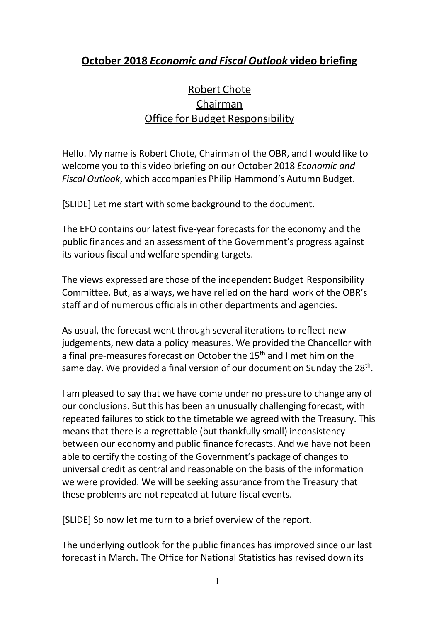## **October 2018** *Economic and Fiscal Outlook* **video briefing**

## Robert Chote Chairman Office for Budget Responsibility

Hello. My name is Robert Chote, Chairman of the OBR, and I would like to welcome you to this video briefing on our October 2018 *Economic and Fiscal Outlook*, which accompanies Philip Hammond's Autumn Budget.

[SLIDE] Let me start with some background to the document.

The EFO contains our latest five-year forecasts for the economy and the public finances and an assessment of the Government's progress against its various fiscal and welfare spending targets.

The views expressed are those of the independent Budget Responsibility Committee. But, as always, we have relied on the hard work of the OBR's staff and of numerous officials in other departments and agencies.

As usual, the forecast went through several iterations to reflect new judgements, new data a policy measures. We provided the Chancellor with a final pre-measures forecast on October the 15<sup>th</sup> and I met him on the same day. We provided a final version of our document on Sunday the 28<sup>th</sup>.

I am pleased to say that we have come under no pressure to change any of our conclusions. But this has been an unusually challenging forecast, with repeated failures to stick to the timetable we agreed with the Treasury. This means that there is a regrettable (but thankfully small) inconsistency between our economy and public finance forecasts. And we have not been able to certify the costing of the Government's package of changes to universal credit as central and reasonable on the basis of the information we were provided. We will be seeking assurance from the Treasury that these problems are not repeated at future fiscal events.

[SLIDE] So now let me turn to a brief overview of the report.

The underlying outlook for the public finances has improved since our last forecast in March. The Office for National Statistics has revised down its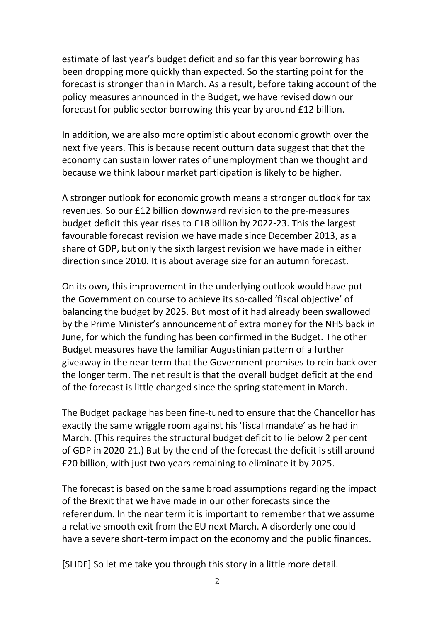estimate of last year's budget deficit and so far this year borrowing has been dropping more quickly than expected. So the starting point for the forecast is stronger than in March. As a result, before taking account of the policy measures announced in the Budget, we have revised down our forecast for public sector borrowing this year by around £12 billion.

In addition, we are also more optimistic about economic growth over the next five years. This is because recent outturn data suggest that that the economy can sustain lower rates of unemployment than we thought and because we think labour market participation is likely to be higher.

A stronger outlook for economic growth means a stronger outlook for tax revenues. So our £12 billion downward revision to the pre-measures budget deficit this year rises to £18 billion by 2022-23. This the largest favourable forecast revision we have made since December 2013, as a share of GDP, but only the sixth largest revision we have made in either direction since 2010. It is about average size for an autumn forecast.

On its own, this improvement in the underlying outlook would have put the Government on course to achieve its so-called 'fiscal objective' of balancing the budget by 2025. But most of it had already been swallowed by the Prime Minister's announcement of extra money for the NHS back in June, for which the funding has been confirmed in the Budget. The other Budget measures have the familiar Augustinian pattern of a further giveaway in the near term that the Government promises to rein back over the longer term. The net result is that the overall budget deficit at the end of the forecast is little changed since the spring statement in March.

The Budget package has been fine-tuned to ensure that the Chancellor has exactly the same wriggle room against his 'fiscal mandate' as he had in March. (This requires the structural budget deficit to lie below 2 per cent of GDP in 2020-21.) But by the end of the forecast the deficit is still around £20 billion, with just two years remaining to eliminate it by 2025.

The forecast is based on the same broad assumptions regarding the impact of the Brexit that we have made in our other forecasts since the referendum. In the near term it is important to remember that we assume a relative smooth exit from the EU next March. A disorderly one could have a severe short-term impact on the economy and the public finances.

[SLIDE] So let me take you through this story in a little more detail.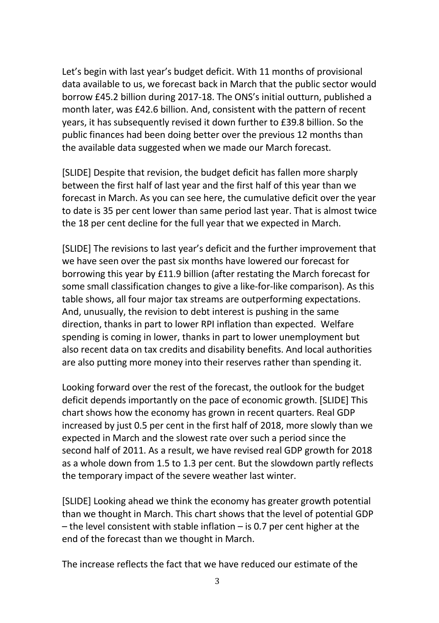Let's begin with last year's budget deficit. With 11 months of provisional data available to us, we forecast back in March that the public sector would borrow £45.2 billion during 2017-18. The ONS's initial outturn, published a month later, was £42.6 billion. And, consistent with the pattern of recent years, it has subsequently revised it down further to £39.8 billion. So the public finances had been doing better over the previous 12 months than the available data suggested when we made our March forecast.

[SLIDE] Despite that revision, the budget deficit has fallen more sharply between the first half of last year and the first half of this year than we forecast in March. As you can see here, the cumulative deficit over the year to date is 35 per cent lower than same period last year. That is almost twice the 18 per cent decline for the full year that we expected in March.

[SLIDE] The revisions to last year's deficit and the further improvement that we have seen over the past six months have lowered our forecast for borrowing this year by £11.9 billion (after restating the March forecast for some small classification changes to give a like-for-like comparison). As this table shows, all four major tax streams are outperforming expectations. And, unusually, the revision to debt interest is pushing in the same direction, thanks in part to lower RPI inflation than expected. Welfare spending is coming in lower, thanks in part to lower unemployment but also recent data on tax credits and disability benefits. And local authorities are also putting more money into their reserves rather than spending it.

Looking forward over the rest of the forecast, the outlook for the budget deficit depends importantly on the pace of economic growth. [SLIDE] This chart shows how the economy has grown in recent quarters. Real GDP increased by just 0.5 per cent in the first half of 2018, more slowly than we expected in March and the slowest rate over such a period since the second half of 2011. As a result, we have revised real GDP growth for 2018 as a whole down from 1.5 to 1.3 per cent. But the slowdown partly reflects the temporary impact of the severe weather last winter.

[SLIDE] Looking ahead we think the economy has greater growth potential than we thought in March. This chart shows that the level of potential GDP  $-$  the level consistent with stable inflation  $-$  is 0.7 per cent higher at the end of the forecast than we thought in March.

The increase reflects the fact that we have reduced our estimate of the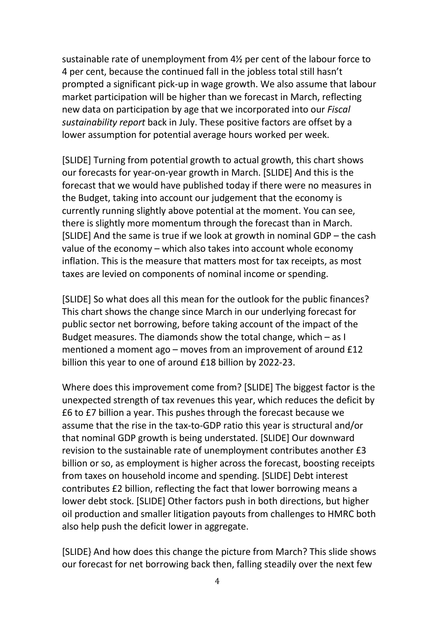sustainable rate of unemployment from 4½ per cent of the labour force to 4 per cent, because the continued fall in the jobless total still hasn't prompted a significant pick-up in wage growth. We also assume that labour market participation will be higher than we forecast in March, reflecting new data on participation by age that we incorporated into our *Fiscal sustainability report* back in July. These positive factors are offset by a lower assumption for potential average hours worked per week.

[SLIDE] Turning from potential growth to actual growth, this chart shows our forecasts for year-on-year growth in March. [SLIDE] And this is the forecast that we would have published today if there were no measures in the Budget, taking into account our judgement that the economy is currently running slightly above potential at the moment. You can see, there is slightly more momentum through the forecast than in March. [SLIDE] And the same is true if we look at growth in nominal GDP – the cash value of the economy – which also takes into account whole economy inflation. This is the measure that matters most for tax receipts, as most taxes are levied on components of nominal income or spending.

[SLIDE] So what does all this mean for the outlook for the public finances? This chart shows the change since March in our underlying forecast for public sector net borrowing, before taking account of the impact of the Budget measures. The diamonds show the total change, which – as I mentioned a moment ago – moves from an improvement of around £12 billion this year to one of around £18 billion by 2022-23.

Where does this improvement come from? [SLIDE] The biggest factor is the unexpected strength of tax revenues this year, which reduces the deficit by £6 to £7 billion a year. This pushes through the forecast because we assume that the rise in the tax-to-GDP ratio this year is structural and/or that nominal GDP growth is being understated. [SLIDE] Our downward revision to the sustainable rate of unemployment contributes another £3 billion or so, as employment is higher across the forecast, boosting receipts from taxes on household income and spending. [SLIDE] Debt interest contributes £2 billion, reflecting the fact that lower borrowing means a lower debt stock. [SLIDE] Other factors push in both directions, but higher oil production and smaller litigation payouts from challenges to HMRC both also help push the deficit lower in aggregate.

[SLIDE} And how does this change the picture from March? This slide shows our forecast for net borrowing back then, falling steadily over the next few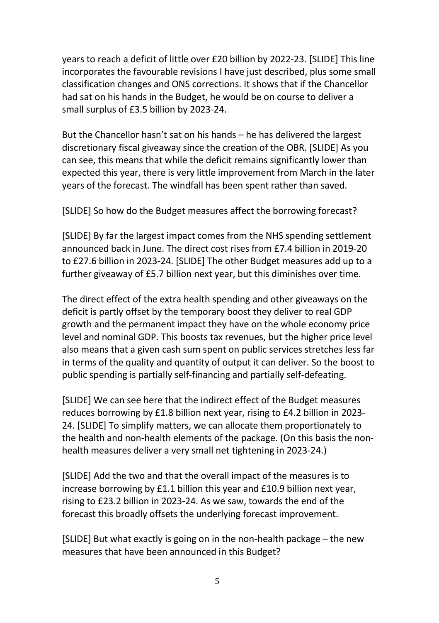years to reach a deficit of little over £20 billion by 2022-23. [SLIDE] This line incorporates the favourable revisions I have just described, plus some small classification changes and ONS corrections. It shows that if the Chancellor had sat on his hands in the Budget, he would be on course to deliver a small surplus of £3.5 billion by 2023-24.

But the Chancellor hasn't sat on his hands – he has delivered the largest discretionary fiscal giveaway since the creation of the OBR. [SLIDE] As you can see, this means that while the deficit remains significantly lower than expected this year, there is very little improvement from March in the later years of the forecast. The windfall has been spent rather than saved.

[SLIDE] So how do the Budget measures affect the borrowing forecast?

[SLIDE] By far the largest impact comes from the NHS spending settlement announced back in June. The direct cost rises from £7.4 billion in 2019-20 to £27.6 billion in 2023-24. [SLIDE] The other Budget measures add up to a further giveaway of £5.7 billion next year, but this diminishes over time.

The direct effect of the extra health spending and other giveaways on the deficit is partly offset by the temporary boost they deliver to real GDP growth and the permanent impact they have on the whole economy price level and nominal GDP. This boosts tax revenues, but the higher price level also means that a given cash sum spent on public services stretches less far in terms of the quality and quantity of output it can deliver. So the boost to public spending is partially self-financing and partially self-defeating.

[SLIDE] We can see here that the indirect effect of the Budget measures reduces borrowing by £1.8 billion next year, rising to £4.2 billion in 2023- 24. [SLIDE] To simplify matters, we can allocate them proportionately to the health and non-health elements of the package. (On this basis the nonhealth measures deliver a very small net tightening in 2023-24.)

[SLIDE] Add the two and that the overall impact of the measures is to increase borrowing by £1.1 billion this year and £10.9 billion next year, rising to £23.2 billion in 2023-24. As we saw, towards the end of the forecast this broadly offsets the underlying forecast improvement.

[SLIDE] But what exactly is going on in the non-health package – the new measures that have been announced in this Budget?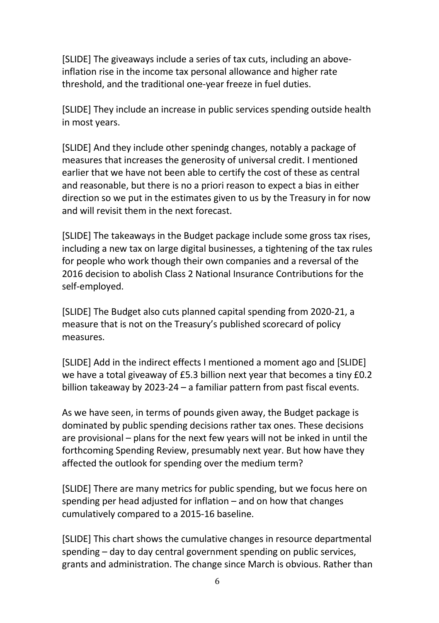[SLIDE] The giveaways include a series of tax cuts, including an aboveinflation rise in the income tax personal allowance and higher rate threshold, and the traditional one-year freeze in fuel duties.

[SLIDE] They include an increase in public services spending outside health in most years.

[SLIDE] And they include other spenindg changes, notably a package of measures that increases the generosity of universal credit. I mentioned earlier that we have not been able to certify the cost of these as central and reasonable, but there is no a priori reason to expect a bias in either direction so we put in the estimates given to us by the Treasury in for now and will revisit them in the next forecast.

[SLIDE] The takeaways in the Budget package include some gross tax rises, including a new tax on large digital businesses, a tightening of the tax rules for people who work though their own companies and a reversal of the 2016 decision to abolish Class 2 National Insurance Contributions for the self-employed.

[SLIDE] The Budget also cuts planned capital spending from 2020-21, a measure that is not on the Treasury's published scorecard of policy measures.

[SLIDE] Add in the indirect effects I mentioned a moment ago and [SLIDE] we have a total giveaway of £5.3 billion next year that becomes a tiny £0.2 billion takeaway by 2023-24 – a familiar pattern from past fiscal events.

As we have seen, in terms of pounds given away, the Budget package is dominated by public spending decisions rather tax ones. These decisions are provisional – plans for the next few years will not be inked in until the forthcoming Spending Review, presumably next year. But how have they affected the outlook for spending over the medium term?

[SLIDE] There are many metrics for public spending, but we focus here on spending per head adjusted for inflation – and on how that changes cumulatively compared to a 2015-16 baseline.

[SLIDE] This chart shows the cumulative changes in resource departmental spending – day to day central government spending on public services, grants and administration. The change since March is obvious. Rather than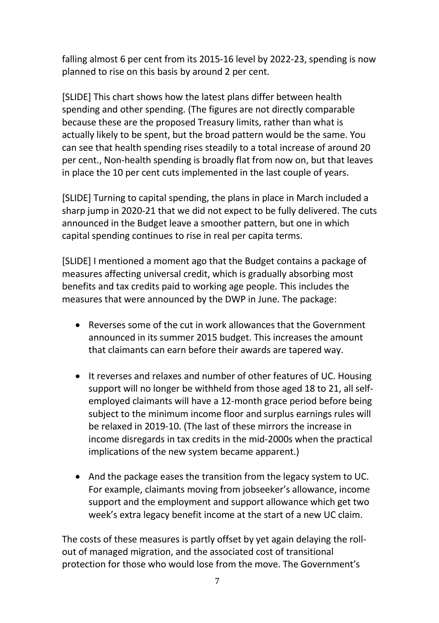falling almost 6 per cent from its 2015-16 level by 2022-23, spending is now planned to rise on this basis by around 2 per cent.

[SLIDE] This chart shows how the latest plans differ between health spending and other spending. (The figures are not directly comparable because these are the proposed Treasury limits, rather than what is actually likely to be spent, but the broad pattern would be the same. You can see that health spending rises steadily to a total increase of around 20 per cent., Non-health spending is broadly flat from now on, but that leaves in place the 10 per cent cuts implemented in the last couple of years.

[SLIDE] Turning to capital spending, the plans in place in March included a sharp jump in 2020-21 that we did not expect to be fully delivered. The cuts announced in the Budget leave a smoother pattern, but one in which capital spending continues to rise in real per capita terms.

[SLIDE] I mentioned a moment ago that the Budget contains a package of measures affecting universal credit, which is gradually absorbing most benefits and tax credits paid to working age people. This includes the measures that were announced by the DWP in June. The package:

- Reverses some of the cut in work allowances that the Government announced in its summer 2015 budget. This increases the amount that claimants can earn before their awards are tapered way.
- It reverses and relaxes and number of other features of UC. Housing support will no longer be withheld from those aged 18 to 21, all selfemployed claimants will have a 12-month grace period before being subject to the minimum income floor and surplus earnings rules will be relaxed in 2019-10. (The last of these mirrors the increase in income disregards in tax credits in the mid-2000s when the practical implications of the new system became apparent.)
- And the package eases the transition from the legacy system to UC. For example, claimants moving from jobseeker's allowance, income support and the employment and support allowance which get two week's extra legacy benefit income at the start of a new UC claim.

The costs of these measures is partly offset by yet again delaying the rollout of managed migration, and the associated cost of transitional protection for those who would lose from the move. The Government's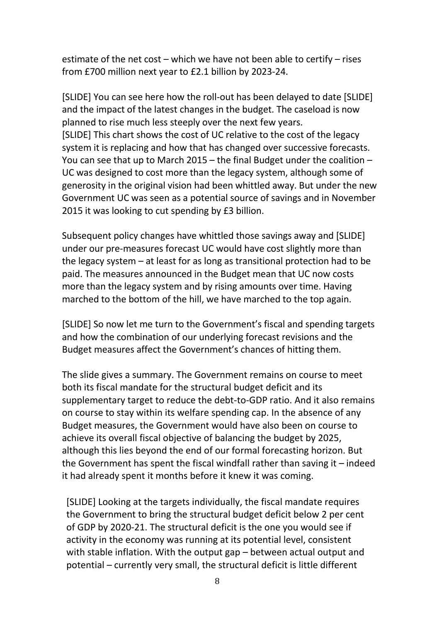estimate of the net cost – which we have not been able to certify – rises from £700 million next year to £2.1 billion by 2023-24.

[SLIDE] You can see here how the roll-out has been delayed to date [SLIDE] and the impact of the latest changes in the budget. The caseload is now planned to rise much less steeply over the next few years. [SLIDE] This chart shows the cost of UC relative to the cost of the legacy system it is replacing and how that has changed over successive forecasts. You can see that up to March 2015 – the final Budget under the coalition – UC was designed to cost more than the legacy system, although some of generosity in the original vision had been whittled away. But under the new Government UC was seen as a potential source of savings and in November 2015 it was looking to cut spending by £3 billion.

Subsequent policy changes have whittled those savings away and [SLIDE] under our pre-measures forecast UC would have cost slightly more than the legacy system – at least for as long as transitional protection had to be paid. The measures announced in the Budget mean that UC now costs more than the legacy system and by rising amounts over time. Having marched to the bottom of the hill, we have marched to the top again.

[SLIDE] So now let me turn to the Government's fiscal and spending targets and how the combination of our underlying forecast revisions and the Budget measures affect the Government's chances of hitting them.

The slide gives a summary. The Government remains on course to meet both its fiscal mandate for the structural budget deficit and its supplementary target to reduce the debt-to-GDP ratio. And it also remains on course to stay within its welfare spending cap. In the absence of any Budget measures, the Government would have also been on course to achieve its overall fiscal objective of balancing the budget by 2025, although this lies beyond the end of our formal forecasting horizon. But the Government has spent the fiscal windfall rather than saving it – indeed it had already spent it months before it knew it was coming.

[SLIDE] Looking at the targets individually, the fiscal mandate requires the Government to bring the structural budget deficit below 2 per cent of GDP by 2020-21. The structural deficit is the one you would see if activity in the economy was running at its potential level, consistent with stable inflation. With the output gap – between actual output and potential – currently very small, the structural deficit is little different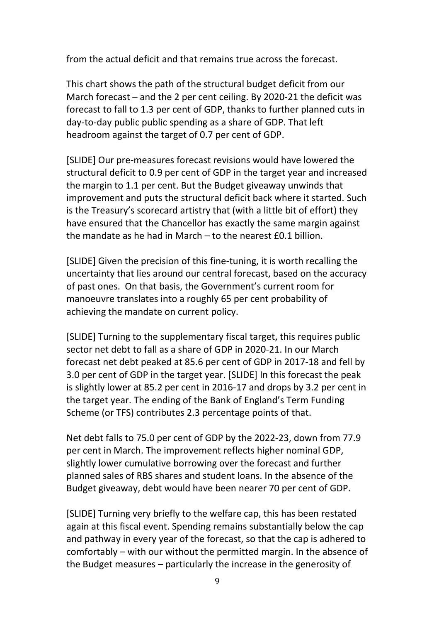from the actual deficit and that remains true across the forecast.

This chart shows the path of the structural budget deficit from our March forecast – and the 2 per cent ceiling. By 2020-21 the deficit was forecast to fall to 1.3 per cent of GDP, thanks to further planned cuts in day-to-day public public spending as a share of GDP. That left headroom against the target of 0.7 per cent of GDP.

[SLIDE] Our pre-measures forecast revisions would have lowered the structural deficit to 0.9 per cent of GDP in the target year and increased the margin to 1.1 per cent. But the Budget giveaway unwinds that improvement and puts the structural deficit back where it started. Such is the Treasury's scorecard artistry that (with a little bit of effort) they have ensured that the Chancellor has exactly the same margin against the mandate as he had in March – to the nearest £0.1 billion.

[SLIDE] Given the precision of this fine-tuning, it is worth recalling the uncertainty that lies around our central forecast, based on the accuracy of past ones. On that basis, the Government's current room for manoeuvre translates into a roughly 65 per cent probability of achieving the mandate on current policy.

[SLIDE] Turning to the supplementary fiscal target, this requires public sector net debt to fall as a share of GDP in 2020-21. In our March forecast net debt peaked at 85.6 per cent of GDP in 2017-18 and fell by 3.0 per cent of GDP in the target year. [SLIDE] In this forecast the peak is slightly lower at 85.2 per cent in 2016-17 and drops by 3.2 per cent in the target year. The ending of the Bank of England's Term Funding Scheme (or TFS) contributes 2.3 percentage points of that.

Net debt falls to 75.0 per cent of GDP by the 2022-23, down from 77.9 per cent in March. The improvement reflects higher nominal GDP, slightly lower cumulative borrowing over the forecast and further planned sales of RBS shares and student loans. In the absence of the Budget giveaway, debt would have been nearer 70 per cent of GDP.

[SLIDE] Turning very briefly to the welfare cap, this has been restated again at this fiscal event. Spending remains substantially below the cap and pathway in every year of the forecast, so that the cap is adhered to comfortably – with our without the permitted margin. In the absence of the Budget measures – particularly the increase in the generosity of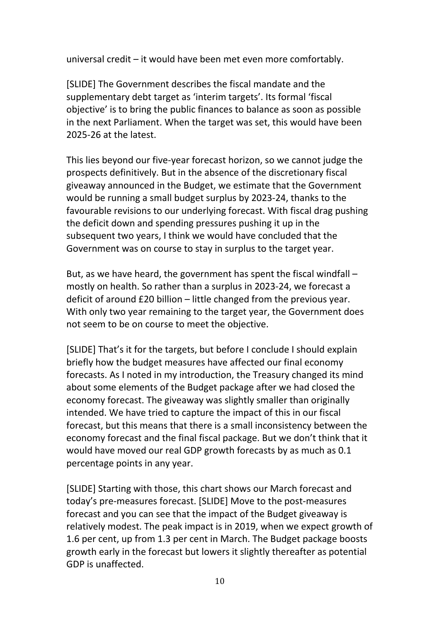universal credit – it would have been met even more comfortably.

[SLIDE] The Government describes the fiscal mandate and the supplementary debt target as 'interim targets'. Its formal 'fiscal objective' is to bring the public finances to balance as soon as possible in the next Parliament. When the target was set, this would have been 2025-26 at the latest.

This lies beyond our five-year forecast horizon, so we cannot judge the prospects definitively. But in the absence of the discretionary fiscal giveaway announced in the Budget, we estimate that the Government would be running a small budget surplus by 2023-24, thanks to the favourable revisions to our underlying forecast. With fiscal drag pushing the deficit down and spending pressures pushing it up in the subsequent two years, I think we would have concluded that the Government was on course to stay in surplus to the target year.

But, as we have heard, the government has spent the fiscal windfall – mostly on health. So rather than a surplus in 2023-24, we forecast a deficit of around £20 billion – little changed from the previous year. With only two year remaining to the target year, the Government does not seem to be on course to meet the objective.

[SLIDE] That's it for the targets, but before I conclude I should explain briefly how the budget measures have affected our final economy forecasts. As I noted in my introduction, the Treasury changed its mind about some elements of the Budget package after we had closed the economy forecast. The giveaway was slightly smaller than originally intended. We have tried to capture the impact of this in our fiscal forecast, but this means that there is a small inconsistency between the economy forecast and the final fiscal package. But we don't think that it would have moved our real GDP growth forecasts by as much as 0.1 percentage points in any year.

[SLIDE] Starting with those, this chart shows our March forecast and today's pre-measures forecast. [SLIDE] Move to the post-measures forecast and you can see that the impact of the Budget giveaway is relatively modest. The peak impact is in 2019, when we expect growth of 1.6 per cent, up from 1.3 per cent in March. The Budget package boosts growth early in the forecast but lowers it slightly thereafter as potential GDP is unaffected.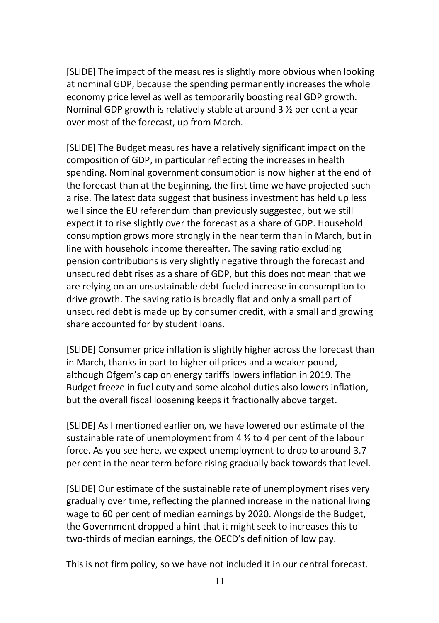[SLIDE] The impact of the measures is slightly more obvious when looking at nominal GDP, because the spending permanently increases the whole economy price level as well as temporarily boosting real GDP growth. Nominal GDP growth is relatively stable at around 3 ½ per cent a year over most of the forecast, up from March.

[SLIDE] The Budget measures have a relatively significant impact on the composition of GDP, in particular reflecting the increases in health spending. Nominal government consumption is now higher at the end of the forecast than at the beginning, the first time we have projected such a rise. The latest data suggest that business investment has held up less well since the EU referendum than previously suggested, but we still expect it to rise slightly over the forecast as a share of GDP. Household consumption grows more strongly in the near term than in March, but in line with household income thereafter. The saving ratio excluding pension contributions is very slightly negative through the forecast and unsecured debt rises as a share of GDP, but this does not mean that we are relying on an unsustainable debt-fueled increase in consumption to drive growth. The saving ratio is broadly flat and only a small part of unsecured debt is made up by consumer credit, with a small and growing share accounted for by student loans.

[SLIDE] Consumer price inflation is slightly higher across the forecast than in March, thanks in part to higher oil prices and a weaker pound, although Ofgem's cap on energy tariffs lowers inflation in 2019. The Budget freeze in fuel duty and some alcohol duties also lowers inflation, but the overall fiscal loosening keeps it fractionally above target.

[SLIDE] As I mentioned earlier on, we have lowered our estimate of the sustainable rate of unemployment from 4 ½ to 4 per cent of the labour force. As you see here, we expect unemployment to drop to around 3.7 per cent in the near term before rising gradually back towards that level.

[SLIDE] Our estimate of the sustainable rate of unemployment rises very gradually over time, reflecting the planned increase in the national living wage to 60 per cent of median earnings by 2020. Alongside the Budget, the Government dropped a hint that it might seek to increases this to two-thirds of median earnings, the OECD's definition of low pay.

This is not firm policy, so we have not included it in our central forecast.